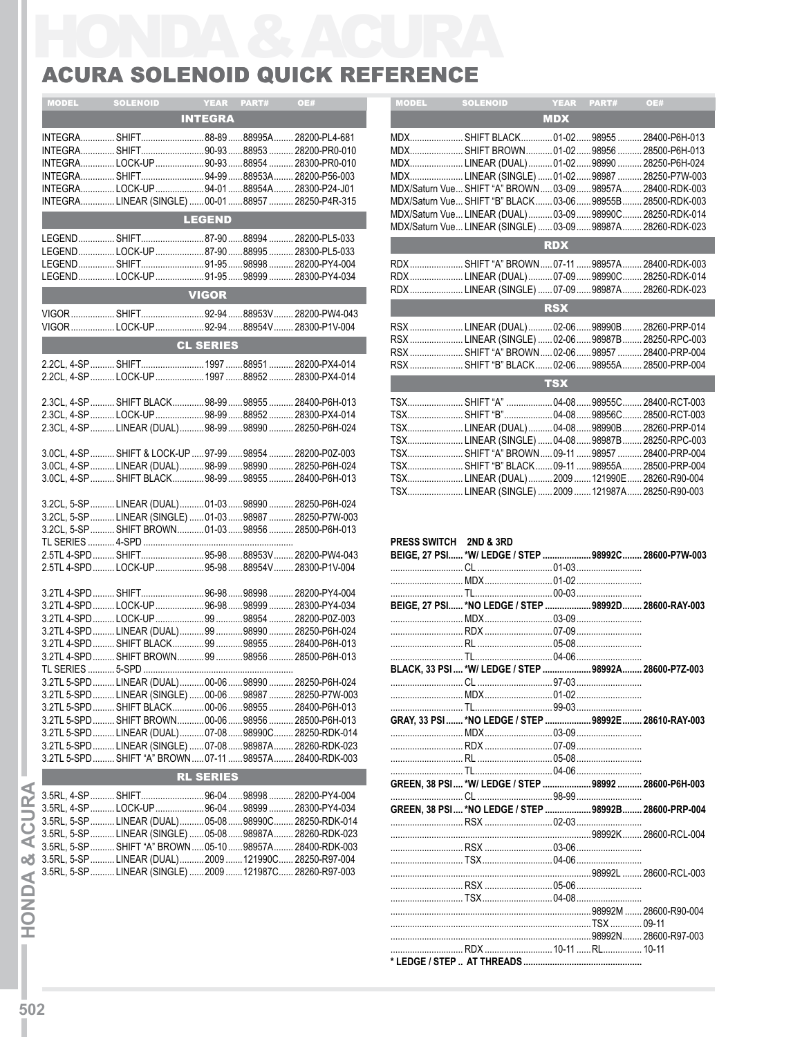## ACURA SOLENOID QUICK REFERENCE

| <b>MDX</b><br><b>INTEGRA</b><br>MDX SHIFT BLACK 01-02 98955<br>INTEGRA SHIFT88-8988995A 28200-PL4-681<br>INTEGRA SHIFT 90-9388953 28200-PR0-010<br>MDXSHIFT BROWN01-02989562850<br>MDX LINEAR (DUAL) 01-0298990  2825<br>INTEGRALOCK-UP90-9388954 28300-PR0-010<br>INTEGRA  SHIFT  94-99  88953A  28200-P56-003<br>MDXLINEAR (SINGLE)  01-02  98987  2825<br>INTEGRA  LOCK-UP  94-01  88954A  28300-P24-J01<br>MDX/Saturn Vue SHIFT "A" BROWN 03-09 98957A<br>INTEGRA LINEAR (SINGLE)  00-01 88957  28250-P4R-315<br>MDX/Saturn Vue SHIFT "B" BLACK 03-06 98955B 2850<br>MDX/Saturn Vue LINEAR (DUAL) 03-09 98990C 2825<br><b>LEGEND</b><br>MDX/Saturn Vue LINEAR (SINGLE)  03-09  98987A 2826<br>LEGEND SHIFT87-9088994 28200-PL5-033<br><b>RDX</b><br>LEGENDLOCK-UP87-9088995 28300-PL5-033<br>LEGEND SHIFT 91-95 98998 28200-PY4-004<br>RDX SHIFT "A" BROWN  07-11  98957A  2840<br>LEGENDLOCK-UP91-9598999 28300-PY4-034<br>RDXLINEAR (DUAL) 07-0998990C 2825<br>RDXLINEAR (SINGLE)07-0998987A 2826<br><b>VIGOR</b><br><b>RSX</b><br>VIGOR  SHIFT 92-94 88953V  28200-PW4-043<br>VIGOR  LOCK-UP  92-94 88954V  28300-P1V-004<br>RSX  LINEAR (DUAL)  02-06  98990B  2826<br>RSX  LINEAR (SINGLE)  02-06  98987B  2825<br><b>CL SERIES</b><br>RSX  SHIFT "A" BROWN  02-06  98957  2840<br>2.2CL, 4-SP  SHIFT  1997 88951  28200-PX4-014<br>RSX  SHIFT "B" BLACK  02-06  98955A  2850<br>2.2CL, 4-SP  LOCK-UP  1997 88952  28300-PX4-014<br><b>TSX</b><br>TSX SHIFT "A"  04-0898955C<br>2.3CL, 4-SP  SHIFT BLACK  98-99  98955  28400-P6H-013<br>TSX SHIFT "B" 04-0898956C<br>2.3CL, 4-SP LOCK-UP 98-99 88952  28300-PX4-014<br>2.3CL, 4-SP  LINEAR (DUAL)  98-99  98990  28250-P6H-024<br>TSXLINEAR (DUAL) 04-0898990B<br>TSXLINEAR (SINGLE)  04-08  98987B<br>TSX SHIFT "A" BROWN 09-11  98957  2840<br>3.0CL, 4-SP  SHIFT & LOCK-UP  97-99  98954  28200-P0Z-003<br>3.0CL, 4-SP  LINEAR (DUAL)  98-99  98990  28250-P6H-024<br>TSX SHIFT "B" BLACK 09-11  98955A<br>3.0CL, 4-SP  SHIFT BLACK 98-99  98955  28400-P6H-013<br>TSXLINEAR (DUAL) 2009  121990E 2826<br>TSXLINEAR (SINGLE)  2009  121987A 2825<br>3.2CL, 5-SP  LINEAR (DUAL)  01-03 98990  28250-P6H-024<br>3.2CL, 5-SP  LINEAR (SINGLE)  01-03  98987  28250-P7W-003<br>3.2CL, 5-SP  SHIFT BROWN 01-03 98956  28500-P6H-013<br>PRESS SWITCH 2ND & 3RD<br>2.5TL 4-SPD  SHIFT  95-98 88953V  28200-PW4-043<br>BEIGE, 27 PSI  *W/ LEDGE / STEP 98992C 2860<br>2.5TL 4-SPD  LOCK-UP  95-98 88954V  28300-P1V-004<br>3.2TL 4-SPD SHIFT 96-9898998<br>28200-PY4-004<br>3.2TL 4-SPDLOCK-UP96-9898999<br>BEIGE. 27 PSI  * NO LEDGE / STEP<br>28300-PY4-034<br>3.2TL 4-SPD  LOCK-UP  99  98954<br>28200-P0Z-003<br>LINEAR (DUAL)99 98990<br>28250-P6H-024<br>3.2TL 4-SPD<br>3.2TL 4-SPD SHIFT BROWN 99  98956<br>28500-P6H-013<br>BLACK, 33 PSI  *W/ LEDGE / STEP  98992A 2860<br>3.2TL 5-SPD  LINEAR (DUAL)  00-06 98990<br>28250-P6H-024<br>3.2TL 5-SPD LINEAR (SINGLE)  00-06 98987<br>28250-P7W-003<br>3.2TL 5-SPD SHIFT BLACK 00-0698955 28400-P6H-013<br>GRAY, 33 PSI  *NO LEDGE / STEP 98992E 2861<br>3.2TL 5-SPD SHIFT BROWN 00-0698956<br>28500-P6H-013<br>3.2TL 5-SPD LINEAR (DUAL) 07-08 98990C<br>28250-RDK-014<br>3.2TL 5-SPD  LINEAR (SINGLE)  07-08  98987A<br>28260-RDK-023 | .2840<br>2840<br>2840<br>2850<br>2826<br>2825<br>2850 |
|----------------------------------------------------------------------------------------------------------------------------------------------------------------------------------------------------------------------------------------------------------------------------------------------------------------------------------------------------------------------------------------------------------------------------------------------------------------------------------------------------------------------------------------------------------------------------------------------------------------------------------------------------------------------------------------------------------------------------------------------------------------------------------------------------------------------------------------------------------------------------------------------------------------------------------------------------------------------------------------------------------------------------------------------------------------------------------------------------------------------------------------------------------------------------------------------------------------------------------------------------------------------------------------------------------------------------------------------------------------------------------------------------------------------------------------------------------------------------------------------------------------------------------------------------------------------------------------------------------------------------------------------------------------------------------------------------------------------------------------------------------------------------------------------------------------------------------------------------------------------------------------------------------------------------------------------------------------------------------------------------------------------------------------------------------------------------------------------------------------------------------------------------------------------------------------------------------------------------------------------------------------------------------------------------------------------------------------------------------------------------------------------------------------------------------------------------------------------------------------------------------------------------------------------------------------------------------------------------------------------------------------------------------------------------------------------------------------------------------------------------------------------------------------------------------------------------------------------------------------------------------------------------------------------------------------------------------------------------------------------------------------------------------------------------------------------------------------------------------------------------------------------------------------------------------------------------------------------------------------------------|-------------------------------------------------------|
|                                                                                                                                                                                                                                                                                                                                                                                                                                                                                                                                                                                                                                                                                                                                                                                                                                                                                                                                                                                                                                                                                                                                                                                                                                                                                                                                                                                                                                                                                                                                                                                                                                                                                                                                                                                                                                                                                                                                                                                                                                                                                                                                                                                                                                                                                                                                                                                                                                                                                                                                                                                                                                                                                                                                                                                                                                                                                                                                                                                                                                                                                                                                                                                                                                                    |                                                       |
|                                                                                                                                                                                                                                                                                                                                                                                                                                                                                                                                                                                                                                                                                                                                                                                                                                                                                                                                                                                                                                                                                                                                                                                                                                                                                                                                                                                                                                                                                                                                                                                                                                                                                                                                                                                                                                                                                                                                                                                                                                                                                                                                                                                                                                                                                                                                                                                                                                                                                                                                                                                                                                                                                                                                                                                                                                                                                                                                                                                                                                                                                                                                                                                                                                                    |                                                       |
|                                                                                                                                                                                                                                                                                                                                                                                                                                                                                                                                                                                                                                                                                                                                                                                                                                                                                                                                                                                                                                                                                                                                                                                                                                                                                                                                                                                                                                                                                                                                                                                                                                                                                                                                                                                                                                                                                                                                                                                                                                                                                                                                                                                                                                                                                                                                                                                                                                                                                                                                                                                                                                                                                                                                                                                                                                                                                                                                                                                                                                                                                                                                                                                                                                                    |                                                       |
|                                                                                                                                                                                                                                                                                                                                                                                                                                                                                                                                                                                                                                                                                                                                                                                                                                                                                                                                                                                                                                                                                                                                                                                                                                                                                                                                                                                                                                                                                                                                                                                                                                                                                                                                                                                                                                                                                                                                                                                                                                                                                                                                                                                                                                                                                                                                                                                                                                                                                                                                                                                                                                                                                                                                                                                                                                                                                                                                                                                                                                                                                                                                                                                                                                                    |                                                       |
|                                                                                                                                                                                                                                                                                                                                                                                                                                                                                                                                                                                                                                                                                                                                                                                                                                                                                                                                                                                                                                                                                                                                                                                                                                                                                                                                                                                                                                                                                                                                                                                                                                                                                                                                                                                                                                                                                                                                                                                                                                                                                                                                                                                                                                                                                                                                                                                                                                                                                                                                                                                                                                                                                                                                                                                                                                                                                                                                                                                                                                                                                                                                                                                                                                                    |                                                       |
|                                                                                                                                                                                                                                                                                                                                                                                                                                                                                                                                                                                                                                                                                                                                                                                                                                                                                                                                                                                                                                                                                                                                                                                                                                                                                                                                                                                                                                                                                                                                                                                                                                                                                                                                                                                                                                                                                                                                                                                                                                                                                                                                                                                                                                                                                                                                                                                                                                                                                                                                                                                                                                                                                                                                                                                                                                                                                                                                                                                                                                                                                                                                                                                                                                                    |                                                       |
|                                                                                                                                                                                                                                                                                                                                                                                                                                                                                                                                                                                                                                                                                                                                                                                                                                                                                                                                                                                                                                                                                                                                                                                                                                                                                                                                                                                                                                                                                                                                                                                                                                                                                                                                                                                                                                                                                                                                                                                                                                                                                                                                                                                                                                                                                                                                                                                                                                                                                                                                                                                                                                                                                                                                                                                                                                                                                                                                                                                                                                                                                                                                                                                                                                                    |                                                       |
|                                                                                                                                                                                                                                                                                                                                                                                                                                                                                                                                                                                                                                                                                                                                                                                                                                                                                                                                                                                                                                                                                                                                                                                                                                                                                                                                                                                                                                                                                                                                                                                                                                                                                                                                                                                                                                                                                                                                                                                                                                                                                                                                                                                                                                                                                                                                                                                                                                                                                                                                                                                                                                                                                                                                                                                                                                                                                                                                                                                                                                                                                                                                                                                                                                                    |                                                       |
|                                                                                                                                                                                                                                                                                                                                                                                                                                                                                                                                                                                                                                                                                                                                                                                                                                                                                                                                                                                                                                                                                                                                                                                                                                                                                                                                                                                                                                                                                                                                                                                                                                                                                                                                                                                                                                                                                                                                                                                                                                                                                                                                                                                                                                                                                                                                                                                                                                                                                                                                                                                                                                                                                                                                                                                                                                                                                                                                                                                                                                                                                                                                                                                                                                                    |                                                       |
|                                                                                                                                                                                                                                                                                                                                                                                                                                                                                                                                                                                                                                                                                                                                                                                                                                                                                                                                                                                                                                                                                                                                                                                                                                                                                                                                                                                                                                                                                                                                                                                                                                                                                                                                                                                                                                                                                                                                                                                                                                                                                                                                                                                                                                                                                                                                                                                                                                                                                                                                                                                                                                                                                                                                                                                                                                                                                                                                                                                                                                                                                                                                                                                                                                                    |                                                       |
|                                                                                                                                                                                                                                                                                                                                                                                                                                                                                                                                                                                                                                                                                                                                                                                                                                                                                                                                                                                                                                                                                                                                                                                                                                                                                                                                                                                                                                                                                                                                                                                                                                                                                                                                                                                                                                                                                                                                                                                                                                                                                                                                                                                                                                                                                                                                                                                                                                                                                                                                                                                                                                                                                                                                                                                                                                                                                                                                                                                                                                                                                                                                                                                                                                                    |                                                       |
|                                                                                                                                                                                                                                                                                                                                                                                                                                                                                                                                                                                                                                                                                                                                                                                                                                                                                                                                                                                                                                                                                                                                                                                                                                                                                                                                                                                                                                                                                                                                                                                                                                                                                                                                                                                                                                                                                                                                                                                                                                                                                                                                                                                                                                                                                                                                                                                                                                                                                                                                                                                                                                                                                                                                                                                                                                                                                                                                                                                                                                                                                                                                                                                                                                                    |                                                       |
|                                                                                                                                                                                                                                                                                                                                                                                                                                                                                                                                                                                                                                                                                                                                                                                                                                                                                                                                                                                                                                                                                                                                                                                                                                                                                                                                                                                                                                                                                                                                                                                                                                                                                                                                                                                                                                                                                                                                                                                                                                                                                                                                                                                                                                                                                                                                                                                                                                                                                                                                                                                                                                                                                                                                                                                                                                                                                                                                                                                                                                                                                                                                                                                                                                                    |                                                       |
|                                                                                                                                                                                                                                                                                                                                                                                                                                                                                                                                                                                                                                                                                                                                                                                                                                                                                                                                                                                                                                                                                                                                                                                                                                                                                                                                                                                                                                                                                                                                                                                                                                                                                                                                                                                                                                                                                                                                                                                                                                                                                                                                                                                                                                                                                                                                                                                                                                                                                                                                                                                                                                                                                                                                                                                                                                                                                                                                                                                                                                                                                                                                                                                                                                                    |                                                       |
|                                                                                                                                                                                                                                                                                                                                                                                                                                                                                                                                                                                                                                                                                                                                                                                                                                                                                                                                                                                                                                                                                                                                                                                                                                                                                                                                                                                                                                                                                                                                                                                                                                                                                                                                                                                                                                                                                                                                                                                                                                                                                                                                                                                                                                                                                                                                                                                                                                                                                                                                                                                                                                                                                                                                                                                                                                                                                                                                                                                                                                                                                                                                                                                                                                                    |                                                       |
|                                                                                                                                                                                                                                                                                                                                                                                                                                                                                                                                                                                                                                                                                                                                                                                                                                                                                                                                                                                                                                                                                                                                                                                                                                                                                                                                                                                                                                                                                                                                                                                                                                                                                                                                                                                                                                                                                                                                                                                                                                                                                                                                                                                                                                                                                                                                                                                                                                                                                                                                                                                                                                                                                                                                                                                                                                                                                                                                                                                                                                                                                                                                                                                                                                                    |                                                       |
|                                                                                                                                                                                                                                                                                                                                                                                                                                                                                                                                                                                                                                                                                                                                                                                                                                                                                                                                                                                                                                                                                                                                                                                                                                                                                                                                                                                                                                                                                                                                                                                                                                                                                                                                                                                                                                                                                                                                                                                                                                                                                                                                                                                                                                                                                                                                                                                                                                                                                                                                                                                                                                                                                                                                                                                                                                                                                                                                                                                                                                                                                                                                                                                                                                                    |                                                       |
|                                                                                                                                                                                                                                                                                                                                                                                                                                                                                                                                                                                                                                                                                                                                                                                                                                                                                                                                                                                                                                                                                                                                                                                                                                                                                                                                                                                                                                                                                                                                                                                                                                                                                                                                                                                                                                                                                                                                                                                                                                                                                                                                                                                                                                                                                                                                                                                                                                                                                                                                                                                                                                                                                                                                                                                                                                                                                                                                                                                                                                                                                                                                                                                                                                                    |                                                       |
|                                                                                                                                                                                                                                                                                                                                                                                                                                                                                                                                                                                                                                                                                                                                                                                                                                                                                                                                                                                                                                                                                                                                                                                                                                                                                                                                                                                                                                                                                                                                                                                                                                                                                                                                                                                                                                                                                                                                                                                                                                                                                                                                                                                                                                                                                                                                                                                                                                                                                                                                                                                                                                                                                                                                                                                                                                                                                                                                                                                                                                                                                                                                                                                                                                                    |                                                       |
|                                                                                                                                                                                                                                                                                                                                                                                                                                                                                                                                                                                                                                                                                                                                                                                                                                                                                                                                                                                                                                                                                                                                                                                                                                                                                                                                                                                                                                                                                                                                                                                                                                                                                                                                                                                                                                                                                                                                                                                                                                                                                                                                                                                                                                                                                                                                                                                                                                                                                                                                                                                                                                                                                                                                                                                                                                                                                                                                                                                                                                                                                                                                                                                                                                                    |                                                       |
|                                                                                                                                                                                                                                                                                                                                                                                                                                                                                                                                                                                                                                                                                                                                                                                                                                                                                                                                                                                                                                                                                                                                                                                                                                                                                                                                                                                                                                                                                                                                                                                                                                                                                                                                                                                                                                                                                                                                                                                                                                                                                                                                                                                                                                                                                                                                                                                                                                                                                                                                                                                                                                                                                                                                                                                                                                                                                                                                                                                                                                                                                                                                                                                                                                                    |                                                       |
|                                                                                                                                                                                                                                                                                                                                                                                                                                                                                                                                                                                                                                                                                                                                                                                                                                                                                                                                                                                                                                                                                                                                                                                                                                                                                                                                                                                                                                                                                                                                                                                                                                                                                                                                                                                                                                                                                                                                                                                                                                                                                                                                                                                                                                                                                                                                                                                                                                                                                                                                                                                                                                                                                                                                                                                                                                                                                                                                                                                                                                                                                                                                                                                                                                                    |                                                       |
|                                                                                                                                                                                                                                                                                                                                                                                                                                                                                                                                                                                                                                                                                                                                                                                                                                                                                                                                                                                                                                                                                                                                                                                                                                                                                                                                                                                                                                                                                                                                                                                                                                                                                                                                                                                                                                                                                                                                                                                                                                                                                                                                                                                                                                                                                                                                                                                                                                                                                                                                                                                                                                                                                                                                                                                                                                                                                                                                                                                                                                                                                                                                                                                                                                                    |                                                       |
|                                                                                                                                                                                                                                                                                                                                                                                                                                                                                                                                                                                                                                                                                                                                                                                                                                                                                                                                                                                                                                                                                                                                                                                                                                                                                                                                                                                                                                                                                                                                                                                                                                                                                                                                                                                                                                                                                                                                                                                                                                                                                                                                                                                                                                                                                                                                                                                                                                                                                                                                                                                                                                                                                                                                                                                                                                                                                                                                                                                                                                                                                                                                                                                                                                                    |                                                       |
|                                                                                                                                                                                                                                                                                                                                                                                                                                                                                                                                                                                                                                                                                                                                                                                                                                                                                                                                                                                                                                                                                                                                                                                                                                                                                                                                                                                                                                                                                                                                                                                                                                                                                                                                                                                                                                                                                                                                                                                                                                                                                                                                                                                                                                                                                                                                                                                                                                                                                                                                                                                                                                                                                                                                                                                                                                                                                                                                                                                                                                                                                                                                                                                                                                                    |                                                       |
|                                                                                                                                                                                                                                                                                                                                                                                                                                                                                                                                                                                                                                                                                                                                                                                                                                                                                                                                                                                                                                                                                                                                                                                                                                                                                                                                                                                                                                                                                                                                                                                                                                                                                                                                                                                                                                                                                                                                                                                                                                                                                                                                                                                                                                                                                                                                                                                                                                                                                                                                                                                                                                                                                                                                                                                                                                                                                                                                                                                                                                                                                                                                                                                                                                                    |                                                       |
|                                                                                                                                                                                                                                                                                                                                                                                                                                                                                                                                                                                                                                                                                                                                                                                                                                                                                                                                                                                                                                                                                                                                                                                                                                                                                                                                                                                                                                                                                                                                                                                                                                                                                                                                                                                                                                                                                                                                                                                                                                                                                                                                                                                                                                                                                                                                                                                                                                                                                                                                                                                                                                                                                                                                                                                                                                                                                                                                                                                                                                                                                                                                                                                                                                                    |                                                       |
|                                                                                                                                                                                                                                                                                                                                                                                                                                                                                                                                                                                                                                                                                                                                                                                                                                                                                                                                                                                                                                                                                                                                                                                                                                                                                                                                                                                                                                                                                                                                                                                                                                                                                                                                                                                                                                                                                                                                                                                                                                                                                                                                                                                                                                                                                                                                                                                                                                                                                                                                                                                                                                                                                                                                                                                                                                                                                                                                                                                                                                                                                                                                                                                                                                                    |                                                       |
|                                                                                                                                                                                                                                                                                                                                                                                                                                                                                                                                                                                                                                                                                                                                                                                                                                                                                                                                                                                                                                                                                                                                                                                                                                                                                                                                                                                                                                                                                                                                                                                                                                                                                                                                                                                                                                                                                                                                                                                                                                                                                                                                                                                                                                                                                                                                                                                                                                                                                                                                                                                                                                                                                                                                                                                                                                                                                                                                                                                                                                                                                                                                                                                                                                                    |                                                       |
|                                                                                                                                                                                                                                                                                                                                                                                                                                                                                                                                                                                                                                                                                                                                                                                                                                                                                                                                                                                                                                                                                                                                                                                                                                                                                                                                                                                                                                                                                                                                                                                                                                                                                                                                                                                                                                                                                                                                                                                                                                                                                                                                                                                                                                                                                                                                                                                                                                                                                                                                                                                                                                                                                                                                                                                                                                                                                                                                                                                                                                                                                                                                                                                                                                                    |                                                       |
|                                                                                                                                                                                                                                                                                                                                                                                                                                                                                                                                                                                                                                                                                                                                                                                                                                                                                                                                                                                                                                                                                                                                                                                                                                                                                                                                                                                                                                                                                                                                                                                                                                                                                                                                                                                                                                                                                                                                                                                                                                                                                                                                                                                                                                                                                                                                                                                                                                                                                                                                                                                                                                                                                                                                                                                                                                                                                                                                                                                                                                                                                                                                                                                                                                                    |                                                       |
|                                                                                                                                                                                                                                                                                                                                                                                                                                                                                                                                                                                                                                                                                                                                                                                                                                                                                                                                                                                                                                                                                                                                                                                                                                                                                                                                                                                                                                                                                                                                                                                                                                                                                                                                                                                                                                                                                                                                                                                                                                                                                                                                                                                                                                                                                                                                                                                                                                                                                                                                                                                                                                                                                                                                                                                                                                                                                                                                                                                                                                                                                                                                                                                                                                                    |                                                       |
|                                                                                                                                                                                                                                                                                                                                                                                                                                                                                                                                                                                                                                                                                                                                                                                                                                                                                                                                                                                                                                                                                                                                                                                                                                                                                                                                                                                                                                                                                                                                                                                                                                                                                                                                                                                                                                                                                                                                                                                                                                                                                                                                                                                                                                                                                                                                                                                                                                                                                                                                                                                                                                                                                                                                                                                                                                                                                                                                                                                                                                                                                                                                                                                                                                                    |                                                       |
|                                                                                                                                                                                                                                                                                                                                                                                                                                                                                                                                                                                                                                                                                                                                                                                                                                                                                                                                                                                                                                                                                                                                                                                                                                                                                                                                                                                                                                                                                                                                                                                                                                                                                                                                                                                                                                                                                                                                                                                                                                                                                                                                                                                                                                                                                                                                                                                                                                                                                                                                                                                                                                                                                                                                                                                                                                                                                                                                                                                                                                                                                                                                                                                                                                                    | <b>QRQQ2D</b><br>2860                                 |
|                                                                                                                                                                                                                                                                                                                                                                                                                                                                                                                                                                                                                                                                                                                                                                                                                                                                                                                                                                                                                                                                                                                                                                                                                                                                                                                                                                                                                                                                                                                                                                                                                                                                                                                                                                                                                                                                                                                                                                                                                                                                                                                                                                                                                                                                                                                                                                                                                                                                                                                                                                                                                                                                                                                                                                                                                                                                                                                                                                                                                                                                                                                                                                                                                                                    |                                                       |
|                                                                                                                                                                                                                                                                                                                                                                                                                                                                                                                                                                                                                                                                                                                                                                                                                                                                                                                                                                                                                                                                                                                                                                                                                                                                                                                                                                                                                                                                                                                                                                                                                                                                                                                                                                                                                                                                                                                                                                                                                                                                                                                                                                                                                                                                                                                                                                                                                                                                                                                                                                                                                                                                                                                                                                                                                                                                                                                                                                                                                                                                                                                                                                                                                                                    |                                                       |
|                                                                                                                                                                                                                                                                                                                                                                                                                                                                                                                                                                                                                                                                                                                                                                                                                                                                                                                                                                                                                                                                                                                                                                                                                                                                                                                                                                                                                                                                                                                                                                                                                                                                                                                                                                                                                                                                                                                                                                                                                                                                                                                                                                                                                                                                                                                                                                                                                                                                                                                                                                                                                                                                                                                                                                                                                                                                                                                                                                                                                                                                                                                                                                                                                                                    |                                                       |
|                                                                                                                                                                                                                                                                                                                                                                                                                                                                                                                                                                                                                                                                                                                                                                                                                                                                                                                                                                                                                                                                                                                                                                                                                                                                                                                                                                                                                                                                                                                                                                                                                                                                                                                                                                                                                                                                                                                                                                                                                                                                                                                                                                                                                                                                                                                                                                                                                                                                                                                                                                                                                                                                                                                                                                                                                                                                                                                                                                                                                                                                                                                                                                                                                                                    |                                                       |
|                                                                                                                                                                                                                                                                                                                                                                                                                                                                                                                                                                                                                                                                                                                                                                                                                                                                                                                                                                                                                                                                                                                                                                                                                                                                                                                                                                                                                                                                                                                                                                                                                                                                                                                                                                                                                                                                                                                                                                                                                                                                                                                                                                                                                                                                                                                                                                                                                                                                                                                                                                                                                                                                                                                                                                                                                                                                                                                                                                                                                                                                                                                                                                                                                                                    |                                                       |
|                                                                                                                                                                                                                                                                                                                                                                                                                                                                                                                                                                                                                                                                                                                                                                                                                                                                                                                                                                                                                                                                                                                                                                                                                                                                                                                                                                                                                                                                                                                                                                                                                                                                                                                                                                                                                                                                                                                                                                                                                                                                                                                                                                                                                                                                                                                                                                                                                                                                                                                                                                                                                                                                                                                                                                                                                                                                                                                                                                                                                                                                                                                                                                                                                                                    |                                                       |
|                                                                                                                                                                                                                                                                                                                                                                                                                                                                                                                                                                                                                                                                                                                                                                                                                                                                                                                                                                                                                                                                                                                                                                                                                                                                                                                                                                                                                                                                                                                                                                                                                                                                                                                                                                                                                                                                                                                                                                                                                                                                                                                                                                                                                                                                                                                                                                                                                                                                                                                                                                                                                                                                                                                                                                                                                                                                                                                                                                                                                                                                                                                                                                                                                                                    |                                                       |
|                                                                                                                                                                                                                                                                                                                                                                                                                                                                                                                                                                                                                                                                                                                                                                                                                                                                                                                                                                                                                                                                                                                                                                                                                                                                                                                                                                                                                                                                                                                                                                                                                                                                                                                                                                                                                                                                                                                                                                                                                                                                                                                                                                                                                                                                                                                                                                                                                                                                                                                                                                                                                                                                                                                                                                                                                                                                                                                                                                                                                                                                                                                                                                                                                                                    |                                                       |
|                                                                                                                                                                                                                                                                                                                                                                                                                                                                                                                                                                                                                                                                                                                                                                                                                                                                                                                                                                                                                                                                                                                                                                                                                                                                                                                                                                                                                                                                                                                                                                                                                                                                                                                                                                                                                                                                                                                                                                                                                                                                                                                                                                                                                                                                                                                                                                                                                                                                                                                                                                                                                                                                                                                                                                                                                                                                                                                                                                                                                                                                                                                                                                                                                                                    |                                                       |
| 3.2TL 5-SPD SHIFT "A" BROWN07-11 98957A                                                                                                                                                                                                                                                                                                                                                                                                                                                                                                                                                                                                                                                                                                                                                                                                                                                                                                                                                                                                                                                                                                                                                                                                                                                                                                                                                                                                                                                                                                                                                                                                                                                                                                                                                                                                                                                                                                                                                                                                                                                                                                                                                                                                                                                                                                                                                                                                                                                                                                                                                                                                                                                                                                                                                                                                                                                                                                                                                                                                                                                                                                                                                                                                            |                                                       |
| 28400-RDK-003                                                                                                                                                                                                                                                                                                                                                                                                                                                                                                                                                                                                                                                                                                                                                                                                                                                                                                                                                                                                                                                                                                                                                                                                                                                                                                                                                                                                                                                                                                                                                                                                                                                                                                                                                                                                                                                                                                                                                                                                                                                                                                                                                                                                                                                                                                                                                                                                                                                                                                                                                                                                                                                                                                                                                                                                                                                                                                                                                                                                                                                                                                                                                                                                                                      |                                                       |
| <b>RL SERIES</b><br>GREEN, 38 PSI *W/ LEDGE / STEP 98992  2860                                                                                                                                                                                                                                                                                                                                                                                                                                                                                                                                                                                                                                                                                                                                                                                                                                                                                                                                                                                                                                                                                                                                                                                                                                                                                                                                                                                                                                                                                                                                                                                                                                                                                                                                                                                                                                                                                                                                                                                                                                                                                                                                                                                                                                                                                                                                                                                                                                                                                                                                                                                                                                                                                                                                                                                                                                                                                                                                                                                                                                                                                                                                                                                     |                                                       |
| 3.5RL, 4-SP  SHIFT 96-04<br>.98998<br>28200-PY4-004                                                                                                                                                                                                                                                                                                                                                                                                                                                                                                                                                                                                                                                                                                                                                                                                                                                                                                                                                                                                                                                                                                                                                                                                                                                                                                                                                                                                                                                                                                                                                                                                                                                                                                                                                                                                                                                                                                                                                                                                                                                                                                                                                                                                                                                                                                                                                                                                                                                                                                                                                                                                                                                                                                                                                                                                                                                                                                                                                                                                                                                                                                                                                                                                |                                                       |
| 3.5RL, 4-SP LOCK-UP 96-04<br>.98999<br>28300-PY4-034<br>GREEN, 38 PSI *NO LEDGE / STEP  98992B 2860                                                                                                                                                                                                                                                                                                                                                                                                                                                                                                                                                                                                                                                                                                                                                                                                                                                                                                                                                                                                                                                                                                                                                                                                                                                                                                                                                                                                                                                                                                                                                                                                                                                                                                                                                                                                                                                                                                                                                                                                                                                                                                                                                                                                                                                                                                                                                                                                                                                                                                                                                                                                                                                                                                                                                                                                                                                                                                                                                                                                                                                                                                                                                |                                                       |
| 3.5RL, 5-SP  LINEAR (DUAL)  05-08<br>98990C<br>28250-RDK-014                                                                                                                                                                                                                                                                                                                                                                                                                                                                                                                                                                                                                                                                                                                                                                                                                                                                                                                                                                                                                                                                                                                                                                                                                                                                                                                                                                                                                                                                                                                                                                                                                                                                                                                                                                                                                                                                                                                                                                                                                                                                                                                                                                                                                                                                                                                                                                                                                                                                                                                                                                                                                                                                                                                                                                                                                                                                                                                                                                                                                                                                                                                                                                                       |                                                       |
| 3.5RL, 5-SP  LINEAR (SINGLE)  05-08  98987A<br>28260-RDK-023                                                                                                                                                                                                                                                                                                                                                                                                                                                                                                                                                                                                                                                                                                                                                                                                                                                                                                                                                                                                                                                                                                                                                                                                                                                                                                                                                                                                                                                                                                                                                                                                                                                                                                                                                                                                                                                                                                                                                                                                                                                                                                                                                                                                                                                                                                                                                                                                                                                                                                                                                                                                                                                                                                                                                                                                                                                                                                                                                                                                                                                                                                                                                                                       |                                                       |
| 3.5RL, 5-SP  SHIFT "A" BROWN  05-10  98957A  28400-RDK-003                                                                                                                                                                                                                                                                                                                                                                                                                                                                                                                                                                                                                                                                                                                                                                                                                                                                                                                                                                                                                                                                                                                                                                                                                                                                                                                                                                                                                                                                                                                                                                                                                                                                                                                                                                                                                                                                                                                                                                                                                                                                                                                                                                                                                                                                                                                                                                                                                                                                                                                                                                                                                                                                                                                                                                                                                                                                                                                                                                                                                                                                                                                                                                                         |                                                       |
| 3.5RL, 5-SP  LINEAR (DUAL)  2009  121990C<br>. 28250-R97-004<br>3.5RL, 5-SP  LINEAR (SINGLE)  2009  121987C 28260-R97-003                                                                                                                                                                                                                                                                                                                                                                                                                                                                                                                                                                                                                                                                                                                                                                                                                                                                                                                                                                                                                                                                                                                                                                                                                                                                                                                                                                                                                                                                                                                                                                                                                                                                                                                                                                                                                                                                                                                                                                                                                                                                                                                                                                                                                                                                                                                                                                                                                                                                                                                                                                                                                                                                                                                                                                                                                                                                                                                                                                                                                                                                                                                          |                                                       |
|                                                                                                                                                                                                                                                                                                                                                                                                                                                                                                                                                                                                                                                                                                                                                                                                                                                                                                                                                                                                                                                                                                                                                                                                                                                                                                                                                                                                                                                                                                                                                                                                                                                                                                                                                                                                                                                                                                                                                                                                                                                                                                                                                                                                                                                                                                                                                                                                                                                                                                                                                                                                                                                                                                                                                                                                                                                                                                                                                                                                                                                                                                                                                                                                                                                    |                                                       |
|                                                                                                                                                                                                                                                                                                                                                                                                                                                                                                                                                                                                                                                                                                                                                                                                                                                                                                                                                                                                                                                                                                                                                                                                                                                                                                                                                                                                                                                                                                                                                                                                                                                                                                                                                                                                                                                                                                                                                                                                                                                                                                                                                                                                                                                                                                                                                                                                                                                                                                                                                                                                                                                                                                                                                                                                                                                                                                                                                                                                                                                                                                                                                                                                                                                    |                                                       |
|                                                                                                                                                                                                                                                                                                                                                                                                                                                                                                                                                                                                                                                                                                                                                                                                                                                                                                                                                                                                                                                                                                                                                                                                                                                                                                                                                                                                                                                                                                                                                                                                                                                                                                                                                                                                                                                                                                                                                                                                                                                                                                                                                                                                                                                                                                                                                                                                                                                                                                                                                                                                                                                                                                                                                                                                                                                                                                                                                                                                                                                                                                                                                                                                                                                    |                                                       |
|                                                                                                                                                                                                                                                                                                                                                                                                                                                                                                                                                                                                                                                                                                                                                                                                                                                                                                                                                                                                                                                                                                                                                                                                                                                                                                                                                                                                                                                                                                                                                                                                                                                                                                                                                                                                                                                                                                                                                                                                                                                                                                                                                                                                                                                                                                                                                                                                                                                                                                                                                                                                                                                                                                                                                                                                                                                                                                                                                                                                                                                                                                                                                                                                                                                    |                                                       |

| <b>MODEL</b>           | <b>SOLENOID</b>                                                                                                                                                                                                                                                                                                                                                                                                                                | <b>YEAR</b> | PART# | OE# |
|------------------------|------------------------------------------------------------------------------------------------------------------------------------------------------------------------------------------------------------------------------------------------------------------------------------------------------------------------------------------------------------------------------------------------------------------------------------------------|-------------|-------|-----|
|                        |                                                                                                                                                                                                                                                                                                                                                                                                                                                | <b>MDX</b>  |       |     |
|                        | MDX SHIFT BLACK 01-0298955 28400-P6H-013<br>MDX SHIFT BROWN 01-02 98956  28500-P6H-013<br>MDX LINEAR (DUAL) 01-0298990  28250-P6H-024<br>MDX LINEAR (SINGLE)  01-02  98987  28250-P7W-003<br>MDX/Saturn Vue SHIFT "A" BROWN  03-09  98957A 28400-RDK-003<br>MDX/Saturn Vue SHIFT "B" BLACK 03-0698955B 28500-RDK-003<br>MDX/Saturn Vue LINEAR (DUAL) 03-0998990C 28250-RDK-014<br>MDX/Saturn Vue LINEAR (SINGLE)  03-09  98987A  28260-RDK-023 | <b>RDX</b>  |       |     |
|                        | RDX  SHIFT "A" BROWN  07-11 98957A  28400-RDK-003                                                                                                                                                                                                                                                                                                                                                                                              |             |       |     |
|                        | RDX  LINEAR (DUAL)  07-09 98990C  28250-RDK-014<br>RDX LINEAR (SINGLE) 07-0998987A 28260-RDK-023                                                                                                                                                                                                                                                                                                                                               |             |       |     |
|                        |                                                                                                                                                                                                                                                                                                                                                                                                                                                | <b>RSX</b>  |       |     |
|                        | RSX  LINEAR (DUAL)  02-06  98990B  28260-PRP-014<br>RSX  LINEAR (SINGLE)  02-06  98987B  28250-RPC-003<br>RSX  SHIFT "A" BROWN  02-06  98957  28400-PRP-004<br>RSX  SHIFT "B" BLACK  02-06  98955A  28500-PRP-004                                                                                                                                                                                                                              |             |       |     |
|                        |                                                                                                                                                                                                                                                                                                                                                                                                                                                | <b>TSX</b>  |       |     |
|                        | TSX SHIFT "A"  04-0898955C 28400-RCT-003<br>TSX SHIFT "B" 04-0898956C 28500-RCT-003<br>TSX LINEAR (DUAL) 04-08 98990B 28260-PRP-014<br>TSX LINEAR (SINGLE)  04-08  98987B  28250-RPC-003<br>TSX SHIFT "A" BROWN 09-11  98957  28400-PRP-004<br>TSX SHIFT "B" BLACK 09-11 98955A 28500-PRP-004<br>TSX LINEAR (DUAL)2009  121990E 28260-R90-004<br>TSX LINEAR (SINGLE)  2009  121987A 28250-R90-003                                              |             |       |     |
| PRESS SWITCH 2ND & 3RD | BEIGE, 27 PSI  *W/ LEDGE / STEP 98992C  28600-P7W-003<br>REIGE 27 BSL *NO LEDGE / STED 68002D 28600 BAV 003                                                                                                                                                                                                                                                                                                                                    |             |       |     |

| BEIGE, 27 PSI  * NO LEDGE / STEP  98992D  28600-RAY-003 |  |  |
|---------------------------------------------------------|--|--|
|                                                         |  |  |
|                                                         |  |  |
|                                                         |  |  |
|                                                         |  |  |
| BLACK, 33 PSI  *W/ LEDGE / STEP 98992A 28600-P7Z-003    |  |  |
|                                                         |  |  |
|                                                         |  |  |
|                                                         |  |  |
| GRAY, 33 PSI  *NO LEDGE / STEP  98992E  28610-RAY-003   |  |  |
|                                                         |  |  |
|                                                         |  |  |
|                                                         |  |  |
|                                                         |  |  |
|                                                         |  |  |
| GREEN, 38 PSI  *W/ LEDGE / STEP 98992  28600-P6H-003    |  |  |
|                                                         |  |  |
| GREEN, 38 PSI  *NO LEDGE / STEP  98992B  28600-PRP-004  |  |  |
|                                                         |  |  |
|                                                         |  |  |
|                                                         |  |  |
|                                                         |  |  |
|                                                         |  |  |
|                                                         |  |  |
|                                                         |  |  |
|                                                         |  |  |
|                                                         |  |  |
|                                                         |  |  |
|                                                         |  |  |

**\* LEDGE / STEP .. AT THREADS.................................................**

**IHON**